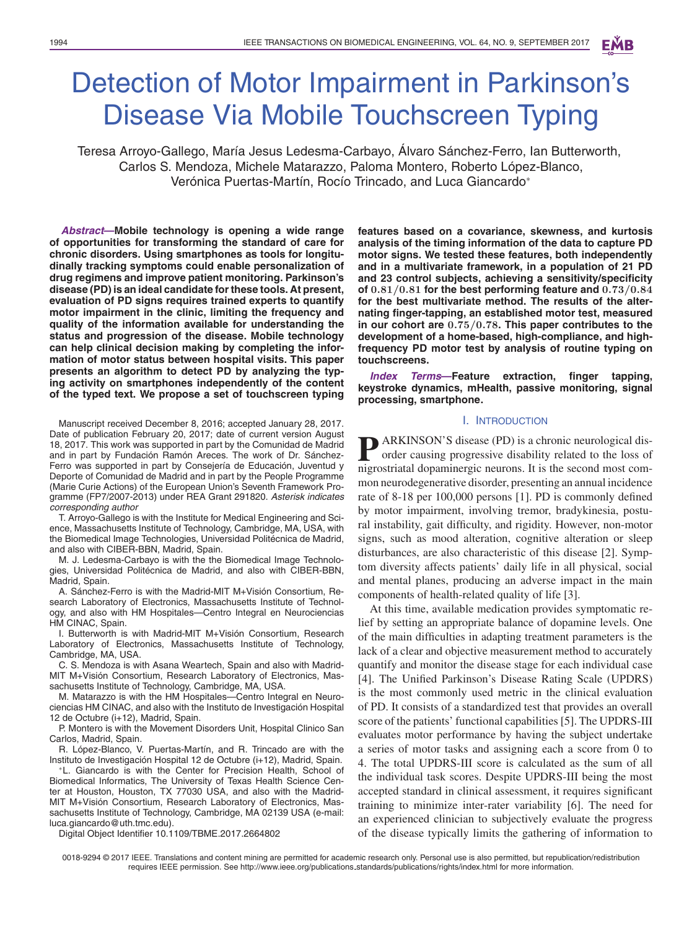# Detection of Motor Impairment in Parkinson's Disease Via Mobile Touchscreen Typing

Teresa Arroyo-Gallego, María Jesus Ledesma-Carbayo, Álvaro Sánchez-Ferro, Ian Butterworth, Carlos S. Mendoza, Michele Matarazzo, Paloma Montero, Roberto López-Blanco, Verónica Puertas-Martín, Rocío Trincado, and Luca Giancardo<sup>∗</sup>

*Abstract***—Mobile technology is opening a wide range of opportunities for transforming the standard of care for chronic disorders. Using smartphones as tools for longitudinally tracking symptoms could enable personalization of drug regimens and improve patient monitoring. Parkinson's disease (PD) is an ideal candidate for these tools. At present, evaluation of PD signs requires trained experts to quantify motor impairment in the clinic, limiting the frequency and quality of the information available for understanding the status and progression of the disease. Mobile technology can help clinical decision making by completing the information of motor status between hospital visits. This paper presents an algorithm to detect PD by analyzing the typing activity on smartphones independently of the content of the typed text. We propose a set of touchscreen typing**

Manuscript received December 8, 2016; accepted January 28, 2017. Date of publication February 20, 2017; date of current version August 18, 2017. This work was supported in part by the Comunidad de Madrid and in part by Fundación Ramón Areces. The work of Dr. Sánchez-Ferro was supported in part by Consejería de Educación, Juventud y Deporte of Comunidad de Madrid and in part by the People Programme (Marie Curie Actions) of the European Union's Seventh Framework Programme (FP7/2007-2013) under REA Grant 291820. *Asterisk indicates corresponding author*

T. Arroyo-Gallego is with the Institute for Medical Engineering and Science, Massachusetts Institute of Technology, Cambridge, MA, USA, with the Biomedical Image Technologies, Universidad Politécnica de Madrid, and also with CIBER-BBN, Madrid, Spain.

M. J. Ledesma-Carbayo is with the the Biomedical Image Technologies, Universidad Politécnica de Madrid, and also with CIBER-BBN, Madrid, Spain.

A. Sánchez-Ferro is with the Madrid-MIT M+Visión Consortium, Research Laboratory of Electronics, Massachusetts Institute of Technology, and also with HM Hospitales—Centro Integral en Neurociencias HM CINAC, Spain.

I. Butterworth is with Madrid-MIT M+Vision Consortium, Research ´ Laboratory of Electronics, Massachusetts Institute of Technology, Cambridge, MA, USA.

C. S. Mendoza is with Asana Weartech, Spain and also with Madrid-MIT M+Visión Consortium, Research Laboratory of Electronics, Massachusetts Institute of Technology, Cambridge, MA, USA.

M. Matarazzo is with the HM Hospitales—Centro Integral en Neurociencias HM CINAC, and also with the Instituto de Investigación Hospital 12 de Octubre (i+12), Madrid, Spain.

P. Montero is with the Movement Disorders Unit, Hospital Clinico San Carlos, Madrid, Spain.

R. López-Blanco, V. Puertas-Martín, and R. Trincado are with the Instituto de Investigación Hospital 12 de Octubre (i+12), Madrid, Spain.

∗L. Giancardo is with the Center for Precision Health, School of Biomedical Informatics, The University of Texas Health Science Center at Houston, Houston, TX 77030 USA, and also with the Madrid-MIT M+Visión Consortium, Research Laboratory of Electronics, Massachusetts Institute of Technology, Cambridge, MA 02139 USA (e-mail: luca.giancardo@uth.tmc.edu).

Digital Object Identifier 10.1109/TBME.2017.2664802

**features based on a covariance, skewness, and kurtosis analysis of the timing information of the data to capture PD motor signs. We tested these features, both independently and in a multivariate framework, in a population of 21 PD and 23 control subjects, achieving a sensitivity/specificity of 0***.***81***/***0***.***81 for the best performing feature and 0***.***73***/***0***.***84 for the best multivariate method. The results of the alternating finger-tapping, an established motor test, measured in our cohort are 0***.***75***/***0***.***78. This paper contributes to the development of a home-based, high-compliance, and highfrequency PD motor test by analysis of routine typing on touchscreens.**

*Index Terms***—Feature extraction, finger tapping, keystroke dynamics, mHealth, passive monitoring, signal processing, smartphone.**

#### I. INTRODUCTION

**P** ARKINSON'S disease (PD) is a chronic neurological disorder causing progressive disability related to the loss of nigrostriatal dopaminergic neurons. It is the second most common neurodegenerative disorder, presenting an annual incidence rate of 8-18 per 100,000 persons [1]. PD is commonly defined by motor impairment, involving tremor, bradykinesia, postural instability, gait difficulty, and rigidity. However, non-motor signs, such as mood alteration, cognitive alteration or sleep disturbances, are also characteristic of this disease [2]. Symptom diversity affects patients' daily life in all physical, social and mental planes, producing an adverse impact in the main components of health-related quality of life [3].

At this time, available medication provides symptomatic relief by setting an appropriate balance of dopamine levels. One of the main difficulties in adapting treatment parameters is the lack of a clear and objective measurement method to accurately quantify and monitor the disease stage for each individual case [4]. The Unified Parkinson's Disease Rating Scale (UPDRS) is the most commonly used metric in the clinical evaluation of PD. It consists of a standardized test that provides an overall score of the patients' functional capabilities [5]. The UPDRS-III evaluates motor performance by having the subject undertake a series of motor tasks and assigning each a score from 0 to 4. The total UPDRS-III score is calculated as the sum of all the individual task scores. Despite UPDRS-III being the most accepted standard in clinical assessment, it requires significant training to minimize inter-rater variability [6]. The need for an experienced clinician to subjectively evaluate the progress of the disease typically limits the gathering of information to

0018-9294 © 2017 IEEE. Translations and content mining are permitted for academic research only. Personal use is also permitted, but republication/redistribution requires IEEE permission. See http://www.ieee.org/publications standards/publications/rights/index.html for more information.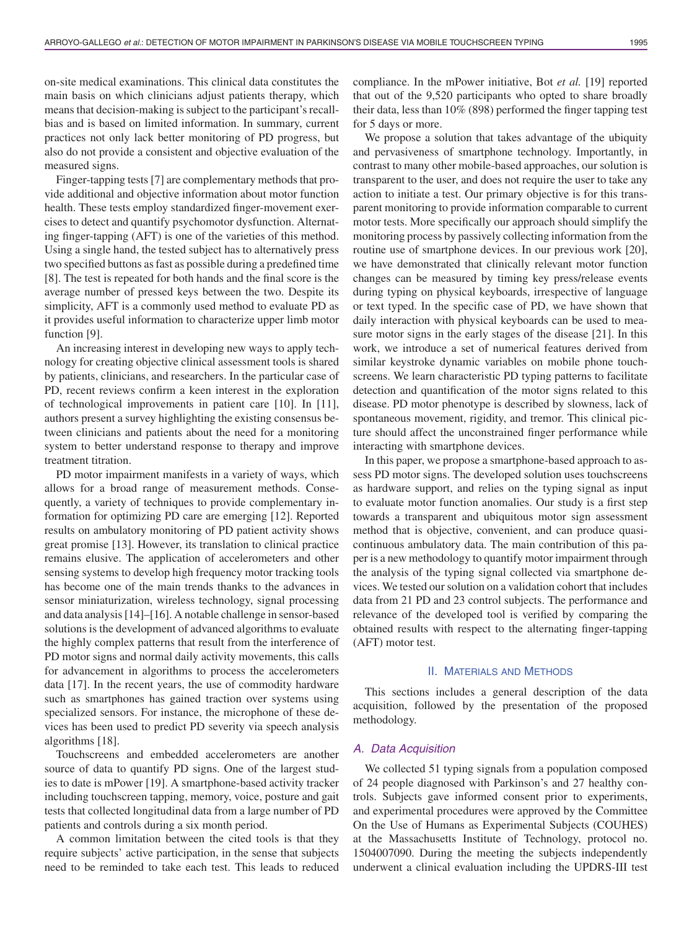on-site medical examinations. This clinical data constitutes the main basis on which clinicians adjust patients therapy, which means that decision-making is subject to the participant's recallbias and is based on limited information. In summary, current practices not only lack better monitoring of PD progress, but also do not provide a consistent and objective evaluation of the measured signs.

Finger-tapping tests [7] are complementary methods that provide additional and objective information about motor function health. These tests employ standardized finger-movement exercises to detect and quantify psychomotor dysfunction. Alternating finger-tapping (AFT) is one of the varieties of this method. Using a single hand, the tested subject has to alternatively press two specified buttons as fast as possible during a predefined time [8]. The test is repeated for both hands and the final score is the average number of pressed keys between the two. Despite its simplicity, AFT is a commonly used method to evaluate PD as it provides useful information to characterize upper limb motor function [9].

An increasing interest in developing new ways to apply technology for creating objective clinical assessment tools is shared by patients, clinicians, and researchers. In the particular case of PD, recent reviews confirm a keen interest in the exploration of technological improvements in patient care [10]. In [11], authors present a survey highlighting the existing consensus between clinicians and patients about the need for a monitoring system to better understand response to therapy and improve treatment titration.

PD motor impairment manifests in a variety of ways, which allows for a broad range of measurement methods. Consequently, a variety of techniques to provide complementary information for optimizing PD care are emerging [12]. Reported results on ambulatory monitoring of PD patient activity shows great promise [13]. However, its translation to clinical practice remains elusive. The application of accelerometers and other sensing systems to develop high frequency motor tracking tools has become one of the main trends thanks to the advances in sensor miniaturization, wireless technology, signal processing and data analysis [14]–[16]. A notable challenge in sensor-based solutions is the development of advanced algorithms to evaluate the highly complex patterns that result from the interference of PD motor signs and normal daily activity movements, this calls for advancement in algorithms to process the accelerometers data [17]. In the recent years, the use of commodity hardware such as smartphones has gained traction over systems using specialized sensors. For instance, the microphone of these devices has been used to predict PD severity via speech analysis algorithms [18].

Touchscreens and embedded accelerometers are another source of data to quantify PD signs. One of the largest studies to date is mPower [19]. A smartphone-based activity tracker including touchscreen tapping, memory, voice, posture and gait tests that collected longitudinal data from a large number of PD patients and controls during a six month period.

A common limitation between the cited tools is that they require subjects' active participation, in the sense that subjects need to be reminded to take each test. This leads to reduced compliance. In the mPower initiative, Bot *et al.* [19] reported that out of the 9,520 participants who opted to share broadly their data, less than 10% (898) performed the finger tapping test for 5 days or more.

We propose a solution that takes advantage of the ubiquity and pervasiveness of smartphone technology. Importantly, in contrast to many other mobile-based approaches, our solution is transparent to the user, and does not require the user to take any action to initiate a test. Our primary objective is for this transparent monitoring to provide information comparable to current motor tests. More specifically our approach should simplify the monitoring process by passively collecting information from the routine use of smartphone devices. In our previous work [20], we have demonstrated that clinically relevant motor function changes can be measured by timing key press/release events during typing on physical keyboards, irrespective of language or text typed. In the specific case of PD, we have shown that daily interaction with physical keyboards can be used to measure motor signs in the early stages of the disease [21]. In this work, we introduce a set of numerical features derived from similar keystroke dynamic variables on mobile phone touchscreens. We learn characteristic PD typing patterns to facilitate detection and quantification of the motor signs related to this disease. PD motor phenotype is described by slowness, lack of spontaneous movement, rigidity, and tremor. This clinical picture should affect the unconstrained finger performance while interacting with smartphone devices.

In this paper, we propose a smartphone-based approach to assess PD motor signs. The developed solution uses touchscreens as hardware support, and relies on the typing signal as input to evaluate motor function anomalies. Our study is a first step towards a transparent and ubiquitous motor sign assessment method that is objective, convenient, and can produce quasicontinuous ambulatory data. The main contribution of this paper is a new methodology to quantify motor impairment through the analysis of the typing signal collected via smartphone devices. We tested our solution on a validation cohort that includes data from 21 PD and 23 control subjects. The performance and relevance of the developed tool is verified by comparing the obtained results with respect to the alternating finger-tapping (AFT) motor test.

## II. MATERIALS AND METHODS

This sections includes a general description of the data acquisition, followed by the presentation of the proposed methodology.

## *A. Data Acquisition*

We collected 51 typing signals from a population composed of 24 people diagnosed with Parkinson's and 27 healthy controls. Subjects gave informed consent prior to experiments, and experimental procedures were approved by the Committee On the Use of Humans as Experimental Subjects (COUHES) at the Massachusetts Institute of Technology, protocol no. 1504007090. During the meeting the subjects independently underwent a clinical evaluation including the UPDRS-III test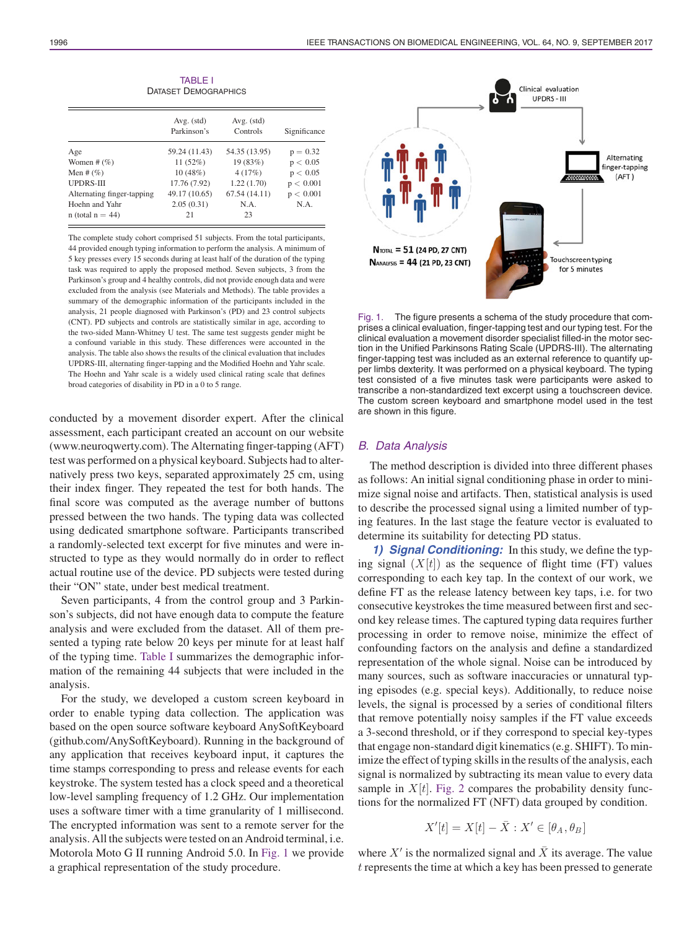| <b>TABLE I</b>              |
|-----------------------------|
| <b>DATASET DEMOGRAPHICS</b> |

|                            | Avg. (std)<br>Parkinson's | Avg. (std)<br>Controls | Significance |  |
|----------------------------|---------------------------|------------------------|--------------|--|
| Age                        | 59.24 (11.43)             | 54.35 (13.95)          | $p = 0.32$   |  |
| Women # $(\%)$             | 11(52%)                   | 19 (83%)               | p < 0.05     |  |
| Men # $(\%)$               | 10(48%)                   | 4(17%)                 | p < 0.05     |  |
| <b>UPDRS-III</b>           | 17.76 (7.92)              | 1.22(1.70)             | p < 0.001    |  |
| Alternating finger-tapping | 49.17 (10.65)             | 67.54(14.11)           | p < 0.001    |  |
| Hoehn and Yahr             | 2.05(0.31)                | N.A.                   | N.A.         |  |
| $n$ (total $n = 44$ )      | 21                        | 23                     |              |  |

The complete study cohort comprised 51 subjects. From the total participants, 44 provided enough typing information to perform the analysis. A minimum of 5 key presses every 15 seconds during at least half of the duration of the typing task was required to apply the proposed method. Seven subjects, 3 from the Parkinson's group and 4 healthy controls, did not provide enough data and were excluded from the analysis (see Materials and Methods). The table provides a summary of the demographic information of the participants included in the analysis, 21 people diagnosed with Parkinson's (PD) and 23 control subjects (CNT). PD subjects and controls are statistically similar in age, according to the two-sided Mann-Whitney U test. The same test suggests gender might be a confound variable in this study. These differences were accounted in the analysis. The table also shows the results of the clinical evaluation that includes UPDRS-III, alternating finger-tapping and the Modified Hoehn and Yahr scale. The Hoehn and Yahr scale is a widely used clinical rating scale that defines broad categories of disability in PD in a 0 to 5 range.

conducted by a movement disorder expert. After the clinical assessment, each participant created an account on our website (www.neuroqwerty.com). The Alternating finger-tapping (AFT) test was performed on a physical keyboard. Subjects had to alternatively press two keys, separated approximately 25 cm, using their index finger. They repeated the test for both hands. The final score was computed as the average number of buttons pressed between the two hands. The typing data was collected using dedicated smartphone software. Participants transcribed a randomly-selected text excerpt for five minutes and were instructed to type as they would normally do in order to reflect actual routine use of the device. PD subjects were tested during their "ON" state, under best medical treatment.

Seven participants, 4 from the control group and 3 Parkinson's subjects, did not have enough data to compute the feature analysis and were excluded from the dataset. All of them presented a typing rate below 20 keys per minute for at least half of the typing time. Table I summarizes the demographic information of the remaining 44 subjects that were included in the analysis.

For the study, we developed a custom screen keyboard in order to enable typing data collection. The application was based on the open source software keyboard AnySoftKeyboard (github.com/AnySoftKeyboard). Running in the background of any application that receives keyboard input, it captures the time stamps corresponding to press and release events for each keystroke. The system tested has a clock speed and a theoretical low-level sampling frequency of 1.2 GHz. Our implementation uses a software timer with a time granularity of 1 millisecond. The encrypted information was sent to a remote server for the analysis. All the subjects were tested on an Android terminal, i.e. Motorola Moto G II running Android 5.0. In Fig. 1 we provide a graphical representation of the study procedure.



Fig. 1. The figure presents a schema of the study procedure that comprises a clinical evaluation, finger-tapping test and our typing test. For the clinical evaluation a movement disorder specialist filled-in the motor section in the Unified Parkinsons Rating Scale (UPDRS-III). The alternating finger-tapping test was included as an external reference to quantify upper limbs dexterity. It was performed on a physical keyboard. The typing test consisted of a five minutes task were participants were asked to transcribe a non-standardized text excerpt using a touchscreen device. The custom screen keyboard and smartphone model used in the test are shown in this figure.

## *B. Data Analysis*

The method description is divided into three different phases as follows: An initial signal conditioning phase in order to minimize signal noise and artifacts. Then, statistical analysis is used to describe the processed signal using a limited number of typing features. In the last stage the feature vector is evaluated to determine its suitability for detecting PD status.

*1) Signal Conditioning:* In this study, we define the typing signal  $(X[t])$  as the sequence of flight time (FT) values corresponding to each key tap. In the context of our work, we define FT as the release latency between key taps, i.e. for two consecutive keystrokes the time measured between first and second key release times. The captured typing data requires further processing in order to remove noise, minimize the effect of confounding factors on the analysis and define a standardized representation of the whole signal. Noise can be introduced by many sources, such as software inaccuracies or unnatural typing episodes (e.g. special keys). Additionally, to reduce noise levels, the signal is processed by a series of conditional filters that remove potentially noisy samples if the FT value exceeds a 3-second threshold, or if they correspond to special key-types that engage non-standard digit kinematics (e.g. SHIFT). To minimize the effect of typing skills in the results of the analysis, each signal is normalized by subtracting its mean value to every data sample in  $X[t]$ . Fig. 2 compares the probability density functions for the normalized FT (NFT) data grouped by condition.

$$
X'[t] = X[t] - \bar{X} : X' \in [\theta_A, \theta_B]
$$

where  $X'$  is the normalized signal and  $\overline{X}$  its average. The value t represents the time at which a key has been pressed to generate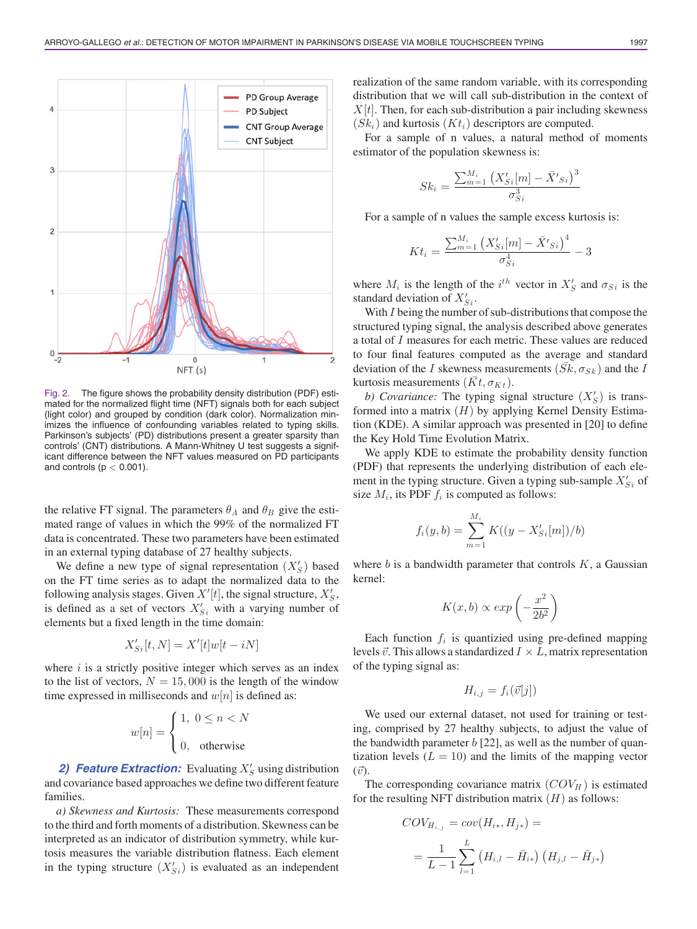

Fig. 2. The figure shows the probability density distribution (PDF) estimated for the normalized flight time (NFT) signals both for each subject (light color) and grouped by condition (dark color). Normalization minimizes the influence of confounding variables related to typing skills. Parkinson's subjects' (PD) distributions present a greater sparsity than controls' (CNT) distributions. A Mann-Whitney U test suggests a significant difference between the NFT values measured on PD participants and controls ( $p < 0.001$ ).

the relative FT signal. The parameters  $\theta_A$  and  $\theta_B$  give the estimated range of values in which the 99% of the normalized FT data is concentrated. These two parameters have been estimated in an external typing database of 27 healthy subjects.

We define a new type of signal representation  $(X'_{S})$  based on the FT time series as to adapt the normalized data to the following analysis stages. Given  $X'[t]$ , the signal structure,  $X'_{S}$ , is defined as a set of vectors  $X'_{Si}$  with a varying number of elements but a fixed length in the time domain:

$$
X'_{Si}[t,N] = X'[t]w[t-iN]
$$

where  $i$  is a strictly positive integer which serves as an index to the list of vectors,  $N = 15,000$  is the length of the window time expressed in milliseconds and  $w[n]$  is defined as:

$$
w[n] = \begin{cases} 1, & 0 \le n < N \\ 0, & \text{otherwise} \end{cases}
$$

2) **Feature Extraction:** Evaluating  $X'_S$  using distribution and covariance based approaches we define two different feature families.

*a) Skewness and Kurtosis:* These measurements correspond to the third and forth moments of a distribution. Skewness can be interpreted as an indicator of distribution symmetry, while kurtosis measures the variable distribution flatness. Each element in the typing structure  $(X'_{Si})$  is evaluated as an independent

realization of the same random variable, with its corresponding distribution that we will call sub-distribution in the context of  $X[t]$ . Then, for each sub-distribution a pair including skewness  $(Sk_i)$  and kurtosis  $(Kt_i)$  descriptors are computed.

For a sample of n values, a natural method of moments estimator of the population skewness is:

$$
Sk_i = \frac{\sum_{m=1}^{M_i} (X'_{Si}[m] - \bar{X'}_{Si})^3}{\sigma_{Si}^3}
$$

For a sample of n values the sample excess kurtosis is:

$$
Kt_i = \frac{\sum_{m=1}^{M_i} (X'_{Si}[m] - \bar{X'}_{Si})^4}{\sigma_{Si}^4} - 3
$$

where  $M_i$  is the length of the  $i^{th}$  vector in  $X'_S$  and  $\sigma_{Si}$  is the standard deviation of  $X'_{Si}$ .

With I being the number of sub-distributions that compose the structured typing signal, the analysis described above generates a total of I measures for each metric. These values are reduced to four final features computed as the average and standard deviation of the I skewness measurements  $(Sk, \sigma_{Sk})$  and the I kurtosis measurements  $(Kt, \sigma_{Kt})$ .

b) Covariance: The typing signal structure  $(X'_{S})$  is transformed into a matrix  $(H)$  by applying Kernel Density Estimation (KDE). A similar approach was presented in [20] to define the Key Hold Time Evolution Matrix.

We apply KDE to estimate the probability density function (PDF) that represents the underlying distribution of each element in the typing structure. Given a typing sub-sample  $X'_{Si}$  of size  $M_i$ , its PDF  $f_i$  is computed as follows:

$$
f_i(y,b) = \sum_{m=1}^{M_i} K((y - X'_{Si}[m])/b)
$$

where  $b$  is a bandwidth parameter that controls  $K$ , a Gaussian kernel:

$$
K(x,b) \propto \exp\left(-\frac{x^2}{2b^2}\right)
$$

Each function  $f_i$  is quantizied using pre-defined mapping levels  $\vec{v}$ . This allows a standardized  $I \times L$ , matrix representation of the typing signal as:

$$
H_{i,j} = f_i(\vec{v}[j])
$$

We used our external dataset, not used for training or testing, comprised by 27 healthy subjects, to adjust the value of the bandwidth parameter  $b$  [22], as well as the number of quantization levels  $(L = 10)$  and the limits of the mapping vector  $(\vec{v})$ .

The corresponding covariance matrix  $(COV_H)$  is estimated for the resulting NFT distribution matrix  $(H)$  as follows:

$$
COV_{H_{i,j}} = cov(H_{i*}, H_{j*}) =
$$
  
=  $\frac{1}{L-1} \sum_{l=1}^{L} (H_{i,l} - \bar{H}_{i*}) (H_{j,l} - \bar{H}_{j*})$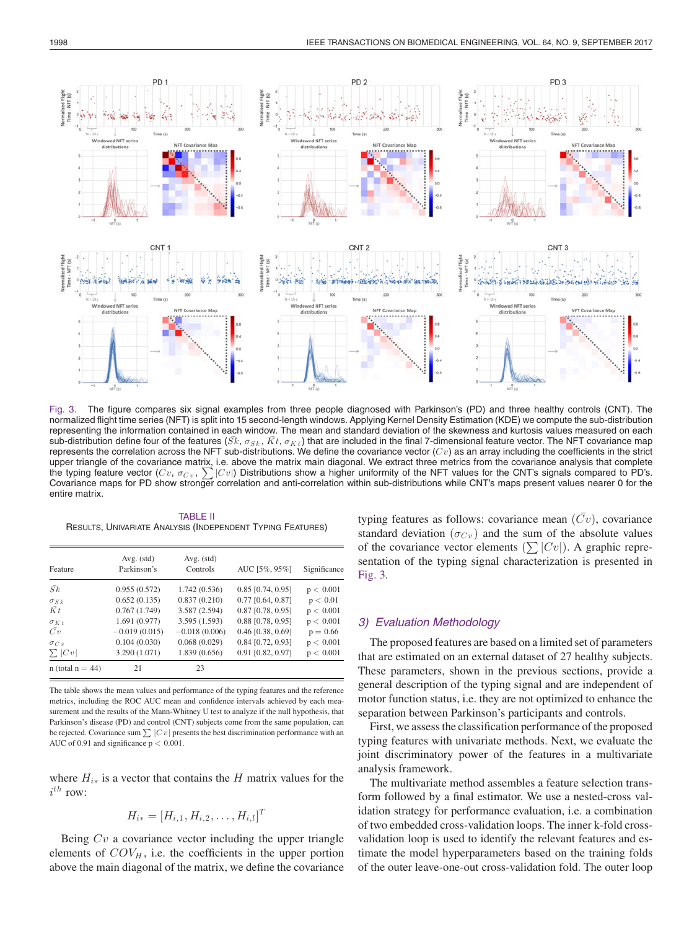

Fig. 3. The figure compares six signal examples from three people diagnosed with Parkinson's (PD) and three healthy controls (CNT). The normalized flight time series (NFT) is split into 15 second-length windows. Applying Kernel Density Estimation (KDE) we compute the sub-distribution representing the information contained in each window. The mean and standard deviation of the skewness and kurtosis values measured on each sub-distribution define four of the features ( $\bar{S}k$ ,  $\sigma_{Sk}$ ,  $\bar{K}t$ ,  $\sigma_{Kt}$ ) that are included in the final 7-dimensional feature vector. The NFT covariance map represents the correlation across the NFT sub-distributions. We define the covariance vector  $(Cv)$  as an array including the coefficients in the strict upper triangle of the covariance matrix, i.e. above the matrix main diagonal. We extract three metrics from the covariance analysis that complete the typing feature vector  $(\bar{C}v, \sigma_{Cv}, \sum |Cv|)$  Distributions show a higher uniformity of the NFT values for the CNT's signals compared to PD's. Covariance maps for PD show stronger correlation and anti-correlation within sub-distributions while CNT's maps present values nearer 0 for the entire matrix.

TABLE II RESULTS, UNIVARIATE ANALYSIS (INDEPENDENT TYPING FEATURES)

| Feature               | Avg. (std)<br>Parkinson's | Avg. $(std)$<br>Controls | AUC [5%, 95%]       | Significance |
|-----------------------|---------------------------|--------------------------|---------------------|--------------|
| $\bar{Sk}$            | 0.955(0.572)              | 1.742(0.536)             | $0.85$ [0.74, 0.95] | p < 0.001    |
| $\sigma_{S\,k}$       | 0.652(0.135)              | 0.837(0.210)             | $0.77$ [0.64, 0.87] | p < 0.01     |
| Kt                    | 0.767(1.749)              | 3.587 (2.594)            | $0.87$ [0.78, 0.95] | p < 0.001    |
| $\sigma_{Kt}$         | 1.691(0.977)              | 3.595 (1.593)            | $0.88$ [0.78, 0.95] | p < 0.001    |
| Cv                    | $-0.019(0.015)$           | $-0.018(0.006)$          | $0.46$ [0.38, 0.69] | $p = 0.66$   |
| $\sigma_{Cv}$         | 0.104(0.030)              | 0.068(0.029)             | $0.84$ [0.72, 0.93] | p < 0.001    |
| $\sum  Cv $           | 3.290 (1.071)             | 1.839(0.656)             | 0.91 [0.82, 0.97]   | p < 0.001    |
| $n$ (total $n = 44$ ) | 21                        | 23                       |                     |              |

The table shows the mean values and performance of the typing features and the reference metrics, including the ROC AUC mean and confidence intervals achieved by each measurement and the results of the Mann-Whitney U test to analyze if the null hypothesis, that Parkinson's disease (PD) and control (CNT) subjects come from the same population, can be rejected. Covariance sum  $\sum |C v|$  presents the best discrimination performance with an AUC of 0.91 and significance  $p < 0.001$ .

where  $H_{i*}$  is a vector that contains the H matrix values for the  $i^{th}$  row:

$$
H_{i*} = [H_{i,1}, H_{i,2}, \ldots, H_{i,l}]^T
$$

Being  $Cv$  a covariance vector including the upper triangle elements of  $COV_H$ , i.e. the coefficients in the upper portion above the main diagonal of the matrix, we define the covariance typing features as follows: covariance mean  $(Cv)$ , covariance standard deviation  $(\sigma_{Cv})$  and the sum of the absolute values of the covariance vector elements  $(\sum |Cv|)$ . A graphic representation of the typing signal characterization is presented in Fig. 3.

## *3) Evaluation Methodology*

The proposed features are based on a limited set of parameters that are estimated on an external dataset of 27 healthy subjects. These parameters, shown in the previous sections, provide a general description of the typing signal and are independent of motor function status, i.e. they are not optimized to enhance the separation between Parkinson's participants and controls.

First, we assess the classification performance of the proposed typing features with univariate methods. Next, we evaluate the joint discriminatory power of the features in a multivariate analysis framework.

The multivariate method assembles a feature selection transform followed by a final estimator. We use a nested-cross validation strategy for performance evaluation, i.e. a combination of two embedded cross-validation loops. The inner k-fold crossvalidation loop is used to identify the relevant features and estimate the model hyperparameters based on the training folds of the outer leave-one-out cross-validation fold. The outer loop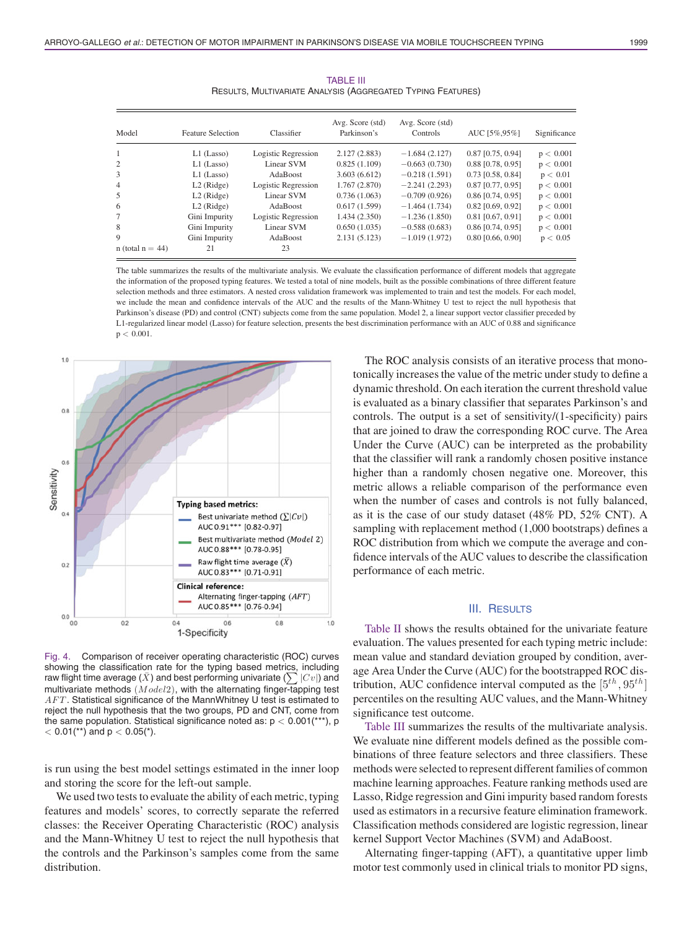| Model                 | <b>Feature Selection</b> | Classifier          | Avg. Score (std)<br>Parkinson's | Avg. Score (std)<br><b>Controls</b> | AUC [5\%,95\%]      | Significance |
|-----------------------|--------------------------|---------------------|---------------------------------|-------------------------------------|---------------------|--------------|
| 1                     | $L1$ (Lasso)             | Logistic Regression | 2.127(2.883)                    | $-1.684(2.127)$                     | $0.87$ [0.75, 0.94] | p < 0.001    |
| 2                     | $L1$ (Lasso)             | Linear SVM          | 0.825(1.109)                    | $-0.663(0.730)$                     | $0.88$ [0.78, 0.95] | p < 0.001    |
| 3                     | $L1$ (Lasso)             | AdaBoost            | 3.603(6.612)                    | $-0.218(1.591)$                     | $0.73$ [0.58, 0.84] | p < 0.01     |
| $\overline{4}$        | $L2$ (Ridge)             | Logistic Regression | 1.767(2.870)                    | $-2.241(2.293)$                     | $0.87$ [0.77, 0.95] | p < 0.001    |
| 5                     | $L2$ (Ridge)             | Linear SVM          | 0.736(1.063)                    | $-0.709(0.926)$                     | 0.86 [0.74, 0.95]   | p < 0.001    |
| 6                     | $L2$ (Ridge)             | AdaBoost            | 0.617(1.599)                    | $-1.464(1.734)$                     | $0.82$ [0.69, 0.92] | p < 0.001    |
|                       | Gini Impurity            | Logistic Regression | 1.434(2.350)                    | $-1.236(1.850)$                     | $0.81$ [0.67, 0.91] | p < 0.001    |
| 8                     | Gini Impurity            | Linear SVM          | 0.650(1.035)                    | $-0.588(0.683)$                     | $0.86$ [0.74, 0.95] | p < 0.001    |
| 9                     | Gini Impurity            | AdaBoost            | 2.131(5.123)                    | $-1.019(1.972)$                     | $0.80$ [0.66, 0.90] | p < 0.05     |
| $n$ (total $n = 44$ ) | 21                       | 23                  |                                 |                                     |                     |              |

TABLE III

The table summarizes the results of the multivariate analysis. We evaluate the classification performance of different models that aggregate the information of the proposed typing features. We tested a total of nine models, built as the possible combinations of three different feature selection methods and three estimators. A nested cross validation framework was implemented to train and test the models. For each model, we include the mean and confidence intervals of the AUC and the results of the Mann-Whitney U test to reject the null hypothesis that Parkinson's disease (PD) and control (CNT) subjects come from the same population. Model 2, a linear support vector classifier preceded by L1-regularized linear model (Lasso) for feature selection, presents the best discrimination performance with an AUC of 0.88 and significance  $p < 0.001$ .



Fig. 4. Comparison of receiver operating characteristic (ROC) curves showing the classification rate for the typing based metrics, including raw flight time average  $(\bar{X})$  and best performing univariate  $(\sum |Cv|)$  and multivariate methods  $(Model2)$ , with the alternating finger-tapping test  $AFT$ . Statistical significance of the MannWhitney U test is estimated to reject the null hypothesis that the two groups, PD and CNT, come from the same population. Statistical significance noted as:  $p < 0.001$ <sup>\*\*\*</sup>), p  $< 0.01$ <sup>\*\*</sup>) and p  $< 0.05$ <sup>\*</sup>).

is run using the best model settings estimated in the inner loop and storing the score for the left-out sample.

We used two tests to evaluate the ability of each metric, typing features and models' scores, to correctly separate the referred classes: the Receiver Operating Characteristic (ROC) analysis and the Mann-Whitney U test to reject the null hypothesis that the controls and the Parkinson's samples come from the same distribution.

The ROC analysis consists of an iterative process that monotonically increases the value of the metric under study to define a dynamic threshold. On each iteration the current threshold value is evaluated as a binary classifier that separates Parkinson's and controls. The output is a set of sensitivity/(1-specificity) pairs that are joined to draw the corresponding ROC curve. The Area Under the Curve (AUC) can be interpreted as the probability that the classifier will rank a randomly chosen positive instance higher than a randomly chosen negative one. Moreover, this metric allows a reliable comparison of the performance even when the number of cases and controls is not fully balanced, as it is the case of our study dataset (48% PD, 52% CNT). A sampling with replacement method (1,000 bootstraps) defines a ROC distribution from which we compute the average and confidence intervals of the AUC values to describe the classification performance of each metric.

# III. RESULTS

Table II shows the results obtained for the univariate feature evaluation. The values presented for each typing metric include: mean value and standard deviation grouped by condition, average Area Under the Curve (AUC) for the bootstrapped ROC distribution, AUC confidence interval computed as the  $[5<sup>th</sup>, 95<sup>th</sup>]$ percentiles on the resulting AUC values, and the Mann-Whitney significance test outcome.

Table III summarizes the results of the multivariate analysis. We evaluate nine different models defined as the possible combinations of three feature selectors and three classifiers. These methods were selected to represent different families of common machine learning approaches. Feature ranking methods used are Lasso, Ridge regression and Gini impurity based random forests used as estimators in a recursive feature elimination framework. Classification methods considered are logistic regression, linear kernel Support Vector Machines (SVM) and AdaBoost.

Alternating finger-tapping (AFT), a quantitative upper limb motor test commonly used in clinical trials to monitor PD signs,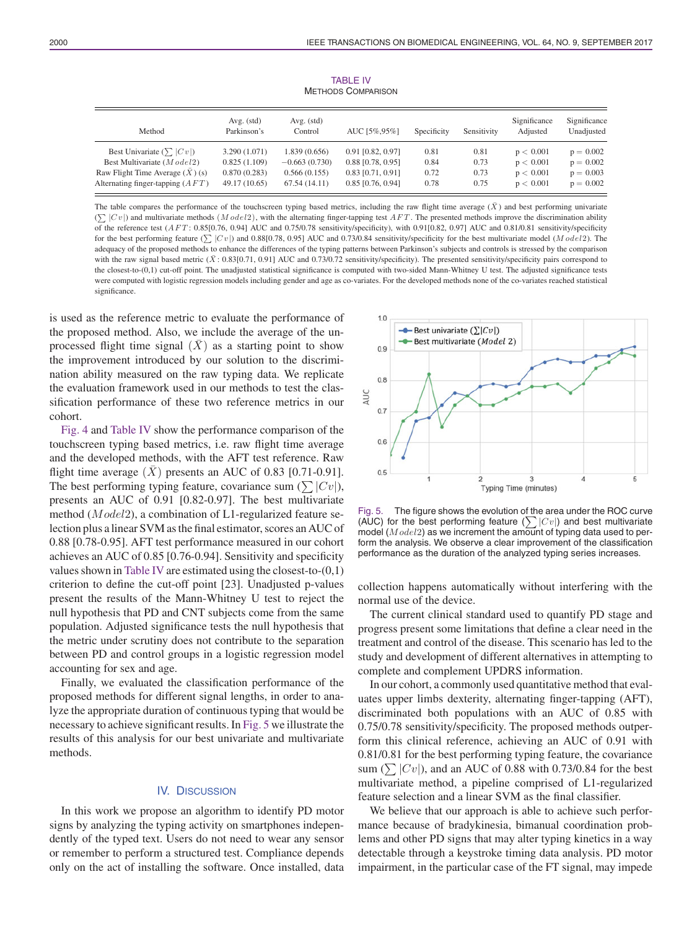| Method                                     | Avg. (std)<br>Parkinson's | Avg. (std)<br>Control | AUC [5%,95%]        | Specificity | Sensitivity | Significance<br>Adjusted | Significance<br>Unadjusted |
|--------------------------------------------|---------------------------|-----------------------|---------------------|-------------|-------------|--------------------------|----------------------------|
| Best Univariate $(\sum  Cv )$              | 3.290 (1.071)             | 1.839 (0.656)         | $0.91$ [0.82, 0.97] | 0.81        | 0.81        | p < 0.001                | $p = 0.002$                |
| Best Multivariate $(M \odot \text{del} 2)$ | 0.825(1.109)              | $-0.663(0.730)$       | $0.88$ [0.78, 0.95] | 0.84        | 0.73        | p < 0.001                | $p = 0.002$                |
| Raw Flight Time Average $(X)$ (s)          | 0.870(0.283)              | 0.566(0.155)          | $0.83$ [0.71, 0.91] | 0.72        | 0.73        | p < 0.001                | $p = 0.003$                |
| Alternating finger-tapping $(AFT)$         | 49.17 (10.65)             | 67.54(14.11)          | $0.85$ [0.76, 0.94] | 0.78        | 0.75        | p < 0.001                | $p = 0.002$                |

The table compares the performance of the touchscreen typing based metrics, including the raw flight time average  $(\bar{X})$  and best performing univariate  $(\sum | Cv|)$  and multivariate methods  $(M \, ode l2)$ , with the alternating finger-tapping test  $AFT$ . The presented methods improve the discrimination ability of the reference test ( $AFT$ : 0.85[0.76, 0.94] AUC and 0.75/0.78 sensitivity/specificity), with 0.91[0.82, 0.97] AUC and 0.81/0.81 sensitivity/specificity for the best performing feature  $(\sum |Cv|)$  and 0.88[0.78, 0.95] AUC and 0.73/0.84 sensitivity/specificity for the best multivariate model (*M odel2*). The adequacy of the proposed methods to enhance the differences of the typing patterns between Parkinson's subjects and controls is stressed by the comparison with the raw signal based metric ( $\bar{X}$ : 0.83[0.71, 0.91] AUC and 0.73/0.72 sensitivity/specificity). The presented sensitivity/specificity pairs correspond to the closest-to-(0,1) cut-off point. The unadjusted statistical significance is computed with two-sided Mann-Whitney U test. The adjusted significance tests were computed with logistic regression models including gender and age as co-variates. For the developed methods none of the co-variates reached statistical significance.

is used as the reference metric to evaluate the performance of the proposed method. Also, we include the average of the unprocessed flight time signal  $(X)$  as a starting point to show the improvement introduced by our solution to the discrimination ability measured on the raw typing data. We replicate the evaluation framework used in our methods to test the classification performance of these two reference metrics in our cohort.

Fig. 4 and Table IV show the performance comparison of the touchscreen typing based metrics, i.e. raw flight time average and the developed methods, with the AFT test reference. Raw flight time average  $(\bar{X})$  presents an AUC of 0.83 [0.71-0.91]. The best performing typing feature, covariance sum  $(\sum |Cv|)$ , presents an AUC of 0.91 [0.82-0.97]. The best multivariate method (Model2), a combination of L1-regularized feature selection plus a linear SVM as the final estimator, scores an AUC of 0.88 [0.78-0.95]. AFT test performance measured in our cohort achieves an AUC of 0.85 [0.76-0.94]. Sensitivity and specificity values shown in Table IV are estimated using the closest-to-(0,1) criterion to define the cut-off point [23]. Unadjusted p-values present the results of the Mann-Whitney U test to reject the null hypothesis that PD and CNT subjects come from the same population. Adjusted significance tests the null hypothesis that the metric under scrutiny does not contribute to the separation between PD and control groups in a logistic regression model accounting for sex and age.

Finally, we evaluated the classification performance of the proposed methods for different signal lengths, in order to analyze the appropriate duration of continuous typing that would be necessary to achieve significant results. In Fig. 5 we illustrate the results of this analysis for our best univariate and multivariate methods.

# IV. DISCUSSION

In this work we propose an algorithm to identify PD motor signs by analyzing the typing activity on smartphones independently of the typed text. Users do not need to wear any sensor or remember to perform a structured test. Compliance depends only on the act of installing the software. Once installed, data



Fig. 5. The figure shows the evolution of the area under the ROC curve (AUC) for the best performing feature  $(\sum |Cv|)$  and best multivariate model  $(M \odot$ del2) as we increment the amount of typing data used to perform the analysis. We observe a clear improvement of the classification performance as the duration of the analyzed typing series increases.

collection happens automatically without interfering with the normal use of the device.

The current clinical standard used to quantify PD stage and progress present some limitations that define a clear need in the treatment and control of the disease. This scenario has led to the study and development of different alternatives in attempting to complete and complement UPDRS information.

In our cohort, a commonly used quantitative method that evaluates upper limbs dexterity, alternating finger-tapping (AFT), discriminated both populations with an AUC of 0.85 with 0.75/0.78 sensitivity/specificity. The proposed methods outperform this clinical reference, achieving an AUC of 0.91 with 0.81/0.81 for the best performing typing feature, the covariance sum  $(\sum |Cv|)$ , and an AUC of 0.88 with 0.73/0.84 for the best multivariate method, a pipeline comprised of L1-regularized feature selection and a linear SVM as the final classifier.

We believe that our approach is able to achieve such performance because of bradykinesia, bimanual coordination problems and other PD signs that may alter typing kinetics in a way detectable through a keystroke timing data analysis. PD motor impairment, in the particular case of the FT signal, may impede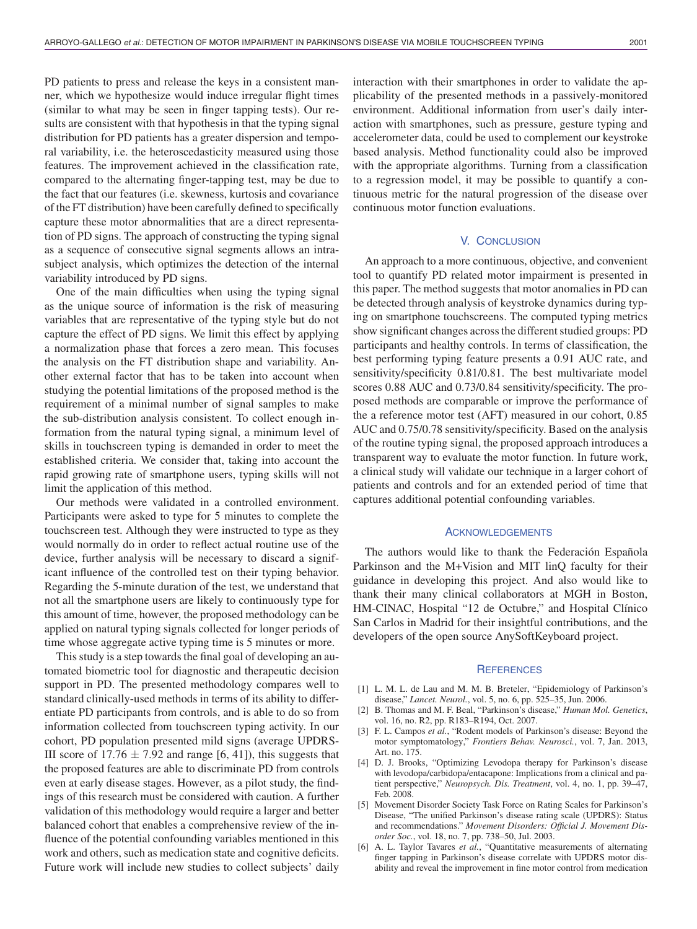PD patients to press and release the keys in a consistent manner, which we hypothesize would induce irregular flight times (similar to what may be seen in finger tapping tests). Our results are consistent with that hypothesis in that the typing signal distribution for PD patients has a greater dispersion and temporal variability, i.e. the heteroscedasticity measured using those features. The improvement achieved in the classification rate, compared to the alternating finger-tapping test, may be due to the fact that our features (i.e. skewness, kurtosis and covariance of the FT distribution) have been carefully defined to specifically capture these motor abnormalities that are a direct representation of PD signs. The approach of constructing the typing signal as a sequence of consecutive signal segments allows an intrasubject analysis, which optimizes the detection of the internal variability introduced by PD signs.

One of the main difficulties when using the typing signal as the unique source of information is the risk of measuring variables that are representative of the typing style but do not capture the effect of PD signs. We limit this effect by applying a normalization phase that forces a zero mean. This focuses the analysis on the FT distribution shape and variability. Another external factor that has to be taken into account when studying the potential limitations of the proposed method is the requirement of a minimal number of signal samples to make the sub-distribution analysis consistent. To collect enough information from the natural typing signal, a minimum level of skills in touchscreen typing is demanded in order to meet the established criteria. We consider that, taking into account the rapid growing rate of smartphone users, typing skills will not limit the application of this method.

Our methods were validated in a controlled environment. Participants were asked to type for 5 minutes to complete the touchscreen test. Although they were instructed to type as they would normally do in order to reflect actual routine use of the device, further analysis will be necessary to discard a significant influence of the controlled test on their typing behavior. Regarding the 5-minute duration of the test, we understand that not all the smartphone users are likely to continuously type for this amount of time, however, the proposed methodology can be applied on natural typing signals collected for longer periods of time whose aggregate active typing time is 5 minutes or more.

This study is a step towards the final goal of developing an automated biometric tool for diagnostic and therapeutic decision support in PD. The presented methodology compares well to standard clinically-used methods in terms of its ability to differentiate PD participants from controls, and is able to do so from information collected from touchscreen typing activity. In our cohort, PD population presented mild signs (average UPDRS-III score of  $17.76 \pm 7.92$  and range [6, 41]), this suggests that the proposed features are able to discriminate PD from controls even at early disease stages. However, as a pilot study, the findings of this research must be considered with caution. A further validation of this methodology would require a larger and better balanced cohort that enables a comprehensive review of the influence of the potential confounding variables mentioned in this work and others, such as medication state and cognitive deficits. Future work will include new studies to collect subjects' daily

interaction with their smartphones in order to validate the applicability of the presented methods in a passively-monitored environment. Additional information from user's daily interaction with smartphones, such as pressure, gesture typing and accelerometer data, could be used to complement our keystroke based analysis. Method functionality could also be improved with the appropriate algorithms. Turning from a classification to a regression model, it may be possible to quantify a continuous metric for the natural progression of the disease over continuous motor function evaluations.

## V. CONCLUSION

An approach to a more continuous, objective, and convenient tool to quantify PD related motor impairment is presented in this paper. The method suggests that motor anomalies in PD can be detected through analysis of keystroke dynamics during typing on smartphone touchscreens. The computed typing metrics show significant changes across the different studied groups: PD participants and healthy controls. In terms of classification, the best performing typing feature presents a 0.91 AUC rate, and sensitivity/specificity 0.81/0.81. The best multivariate model scores 0.88 AUC and 0.73/0.84 sensitivity/specificity. The proposed methods are comparable or improve the performance of the a reference motor test (AFT) measured in our cohort, 0.85 AUC and 0.75/0.78 sensitivity/specificity. Based on the analysis of the routine typing signal, the proposed approach introduces a transparent way to evaluate the motor function. In future work, a clinical study will validate our technique in a larger cohort of patients and controls and for an extended period of time that captures additional potential confounding variables.

## ACKNOWLEDGEMENTS

The authors would like to thank the Federación Española Parkinson and the M+Vision and MIT linQ faculty for their guidance in developing this project. And also would like to thank their many clinical collaborators at MGH in Boston, HM-CINAC, Hospital "12 de Octubre," and Hospital Clínico San Carlos in Madrid for their insightful contributions, and the developers of the open source AnySoftKeyboard project.

### **REFERENCES**

- [1] L. M. L. de Lau and M. M. B. Breteler, "Epidemiology of Parkinson's disease," *Lancet. Neurol.*, vol. 5, no. 6, pp. 525–35, Jun. 2006.
- [2] B. Thomas and M. F. Beal, "Parkinson's disease," *Human Mol. Genetics*, vol. 16, no. R2, pp. R183–R194, Oct. 2007.
- [3] F. L. Campos *et al.*, "Rodent models of Parkinson's disease: Beyond the motor symptomatology," *Frontiers Behav. Neurosci.*, vol. 7, Jan. 2013, Art. no. 175.
- [4] D. J. Brooks, "Optimizing Levodopa therapy for Parkinson's disease with levodopa/carbidopa/entacapone: Implications from a clinical and patient perspective," *Neuropsych. Dis. Treatment*, vol. 4, no. 1, pp. 39–47, Feb. 2008.
- [5] Movement Disorder Society Task Force on Rating Scales for Parkinson's Disease, "The unified Parkinson's disease rating scale (UPDRS): Status and recommendations." *Movement Disorders: Official J. Movement Disorder Soc.*, vol. 18, no. 7, pp. 738–50, Jul. 2003.
- [6] A. L. Taylor Tavares *et al.*, "Quantitative measurements of alternating finger tapping in Parkinson's disease correlate with UPDRS motor disability and reveal the improvement in fine motor control from medication